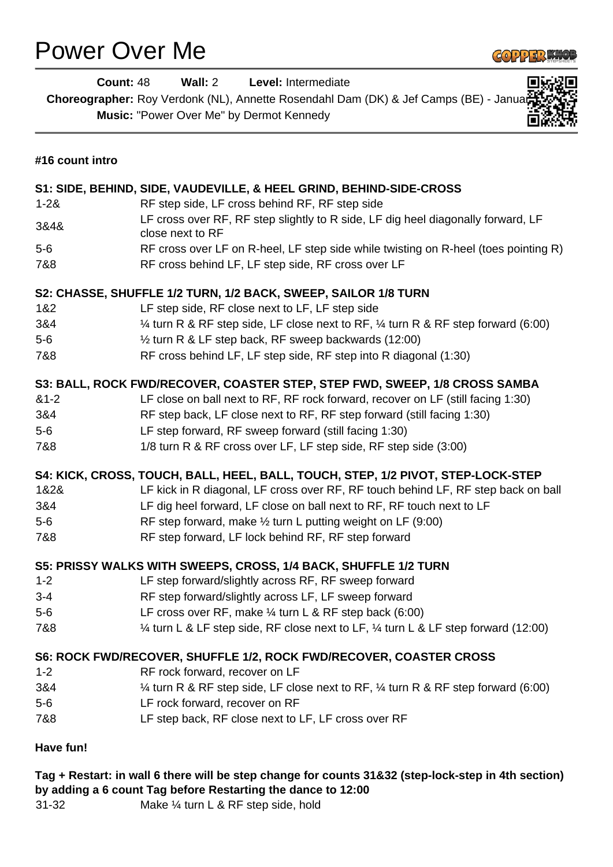# Power Over Me

|                 | <b>Power Over Me</b>                                                                                                                                                                            |
|-----------------|-------------------------------------------------------------------------------------------------------------------------------------------------------------------------------------------------|
|                 | Wall: $2$<br><b>Count: 48</b><br>Level: Intermediate<br>Choreographer: Roy Verdonk (NL), Annette Rosendahl Dam (DK) & Jef Camps (BE) - Janua<br><b>Music: "Power Over Me" by Dermot Kennedy</b> |
| #16 count intro |                                                                                                                                                                                                 |
|                 | S1: SIDE, BEHIND, SIDE, VAUDEVILLE, & HEEL GRIND, BEHIND-SIDE-CROSS                                                                                                                             |
| $1 - 28$        | RF step side, LF cross behind RF, RF step side                                                                                                                                                  |
| 3&4&            | LF cross over RF, RF step slightly to R side, LF dig heel diagonally forward, LF<br>close next to RF                                                                                            |
| $5-6$           | RF cross over LF on R-heel, LF step side while twisting on R-heel (toes pointing R)                                                                                                             |
| 7&8             | RF cross behind LF, LF step side, RF cross over LF                                                                                                                                              |
|                 | S2: CHASSE, SHUFFLE 1/2 TURN, 1/2 BACK, SWEEP, SAILOR 1/8 TURN                                                                                                                                  |
| 1&2             | LF step side, RF close next to LF, LF step side                                                                                                                                                 |
| 3&4             | $\frac{1}{4}$ turn R & RF step side, LF close next to RF, $\frac{1}{4}$ turn R & RF step forward (6:00)                                                                                         |
| $5-6$           | 1/2 turn R & LF step back, RF sweep backwards (12:00)                                                                                                                                           |
| 7&8             | RF cross behind LF, LF step side, RF step into R diagonal (1:30)                                                                                                                                |
|                 | S3: BALL, ROCK FWD/RECOVER, COASTER STEP, STEP FWD, SWEEP, 1/8 CROSS SAMBA                                                                                                                      |
| $81 - 2$        | LF close on ball next to RF, RF rock forward, recover on LF (still facing 1:30)                                                                                                                 |
| 3&4             | RF step back, LF close next to RF, RF step forward (still facing 1:30)                                                                                                                          |
| $5-6$           | LF step forward, RF sweep forward (still facing 1:30)                                                                                                                                           |

7&8 1/8 turn R & RF cross over LF, LF step side, RF step side (3:00)

## **S4: KICK, CROSS, TOUCH, BALL, HEEL, BALL, TOUCH, STEP, 1/2 PIVOT, STEP-LOCK-STEP**

- 1&2& LF kick in R diagonal, LF cross over RF, RF touch behind LF, RF step back on ball
- 3&4 LF dig heel forward, LF close on ball next to RF, RF touch next to LF
- 5-6 RF step forward, make ½ turn L putting weight on LF (9:00)
- 7&8 RF step forward, LF lock behind RF, RF step forward

#### **S5: PRISSY WALKS WITH SWEEPS, CROSS, 1/4 BACK, SHUFFLE 1/2 TURN**

- 1-2 LF step forward/slightly across RF, RF sweep forward
- 3-4 RF step forward/slightly across LF, LF sweep forward
- 5-6 LF cross over RF, make ¼ turn L & RF step back (6:00)
- 7&8 ¼ turn L & LF step side, RF close next to LF, ¼ turn L & LF step forward (12:00)

## **S6: ROCK FWD/RECOVER, SHUFFLE 1/2, ROCK FWD/RECOVER, COASTER CROSS**

- 1-2 RF rock forward, recover on LF
- 3&4 ¼ turn R & RF step side, LF close next to RF, ¼ turn R & RF step forward (6:00)
- 5-6 LF rock forward, recover on RF
- 7&8 LF step back, RF close next to LF, LF cross over RF

#### **Have fun!**

# **Tag + Restart: in wall 6 there will be step change for counts 31&32 (step-lock-step in 4th section) by adding a 6 count Tag before Restarting the dance to 12:00**

31-32 Make ¼ turn L & RF step side, hold